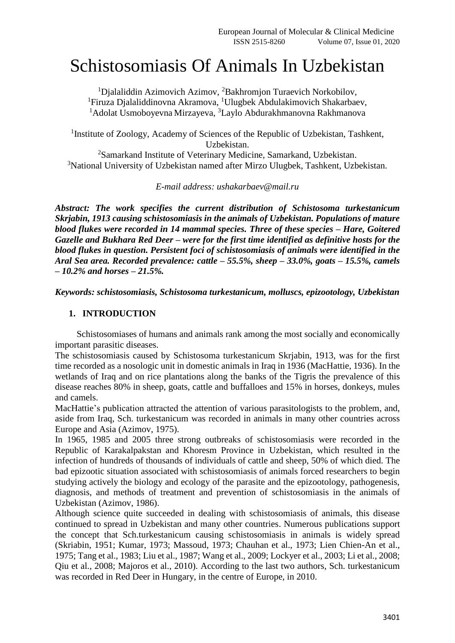# Schistosomiasis Of Animals In Uzbekistan

<sup>1</sup>Djalaliddin Azimovich Azimov, <sup>2</sup>Bakhromjon Turaevich Norkobilov, <sup>1</sup>Firuza Djalaliddinovna Akramova, <sup>1</sup>Ulugbek Abdulakimovich Shakarbaev, <sup>1</sup>Adolat Usmoboyevna Mirzayeva, <sup>3</sup>Laylo Abdurakhmanovna Rakhmanova

<sup>1</sup> Institute of Zoology, Academy of Sciences of the Republic of Uzbekistan, Tashkent, Uzbekistan.

<sup>2</sup>Samarkand Institute of Veterinary Medicine, Samarkand, Uzbekistan. <sup>3</sup>National University of Uzbekistan named after Mirzo Ulugbek, Tashkent, Uzbekistan.

*E-mail address: [ushakarbaev@mail.ru](mailto:ushakarbaev@mail.ru)*

*Abstract: The work specifies the current distribution of Schistosoma turkestanicum Skrjabin, 1913 causing schistosomiasis in the animals of Uzbekistan. Populations of mature blood flukes were recorded in 14 mammal species. Three of these species – Hare, Goitered Gazelle and Bukhara Red Deer – were for the first time identified as definitive hosts for the blood flukes in question. Persistent foci of schistosomiasis of animals were identified in the Aral Sea area. Recorded prevalence: cattle – 55.5%, sheep – 33.0%, goats – 15.5%, camels – 10.2% and horses – 21.5%.*

*Keywords: schistosomiasis, Schistosoma turkestanicum, molluscs, epizootology, Uzbekistan* 

### **1. INTRODUCTION**

Schistosomiases of humans and animals rank among the most socially and economically important parasitic diseases.

The schistosomiasis caused by Schistosoma turkestanicum Skrjabin, 1913, was for the first time recorded as a nosologic unit in domestic animals in Iraq in 1936 (MacHattie, 1936). In the wetlands of Iraq and on rice plantations along the banks of the Tigris the prevalence of this disease reaches 80% in sheep, goats, cattle and buffalloes and 15% in horses, donkeys, mules and camels.

MacHattie's publication attracted the attention of various parasitologists to the problem, and, aside from Iraq, Sch. turkestanicum was recorded in animals in many other countries across Europe and Asia (Azimov, 1975).

In 1965, 1985 and 2005 three strong outbreaks of schistosomiasis were recorded in the Republic of Karakalpakstan and Khoresm Province in Uzbekistan, which resulted in the infection of hundreds of thousands of individuals of cattle and sheep, 50% of which died. The bad epizootic situation associated with schistosomiasis of animals forced researchers to begin studying actively the biology and ecology of the parasite and the epizootology, pathogenesis, diagnosis, and methods of treatment and prevention of schistosomiasis in the animals of Uzbekistan (Azimov, 1986).

Although science quite succeeded in dealing with schistosomiasis of animals, this disease continued to spread in Uzbekistan and many other countries. Numerous publications support the concept that Sch.turkestanicum causing schistosomiasis in animals is widely spread (Skriabin, 1951; Kumar, 1973; Massoud, 1973; Chauhan et al., 1973; Lien Chien-An et al., 1975; Tang et al., 1983; Liu et al., 1987; Wang et al., 2009; Lockyer et al., 2003; Li et al., 2008; Qiu et al., 2008; Majoros et al., 2010). According to the last two authors, Sch. turkestanicum was recorded in Red Deer in Hungary, in the centre of Europe, in 2010.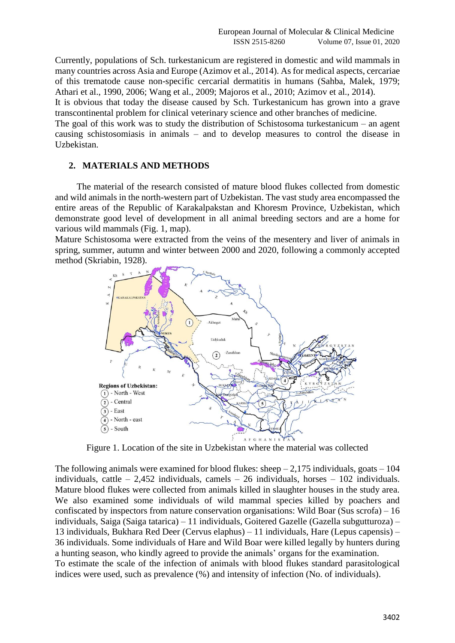Currently, populations of Sch. turkestanicum are registered in domestic and wild mammals in many countries across Asia and Europe (Azimov et al., 2014). As for medical aspects, cercariae of this trematode cause non-specific cercarial dermatitis in humans (Sahba, Malek, 1979; Athari et al., 1990, 2006; Wang et al., 2009; Majoros et al., 2010; Azimov et al., 2014).

It is obvious that today the disease caused by Sch. Turkestanicum has grown into a grave transcontinental problem for clinical veterinary science and other branches of medicine.

The goal of this work was to study the distribution of Schistosoma turkestanicum – an agent causing schistosomiasis in animals – and to develop measures to control the disease in Uzbekistan.

## **2. MATERIALS AND METHODS**

The material of the research consisted of mature blood flukes collected from domestic and wild animals in the north-western part of Uzbekistan. The vast study area encompassed the entire areas of the Republic of Karakalpakstan and Khoresm Province, Uzbekistan, which demonstrate good level of development in all animal breeding sectors and are a home for various wild mammals (Fig. 1, map).

Mature Schistosoma were extracted from the veins of the mesentery and liver of animals in spring, summer, autumn and winter between 2000 and 2020, following a commonly accepted method (Skriabin, 1928).



Figure 1. Location of the site in Uzbekistan where the material was collected

The following animals were examined for blood flukes: sheep  $-2.175$  individuals, goats  $-104$ individuals, cattle  $-2,452$  individuals, camels  $-26$  individuals, horses  $-102$  individuals. Mature blood flukes were collected from animals killed in slaughter houses in the study area. We also examined some individuals of wild mammal species killed by poachers and confiscated by inspectors from nature conservation organisations: Wild Boar (Sus scrofa) – 16 individuals, Saiga (Saiga tatarica) – 11 individuals, Goitered Gazelle (Gazella subgutturoza) – 13 individuals, Bukhara Red Deer (Cervus elaphus) – 11 individuals, Hare (Lepus capensis) – 36 individuals. Some individuals of Hare and Wild Boar were killed legally by hunters during a hunting season, who kindly agreed to provide the animals' organs for the examination. To estimate the scale of the infection of animals with blood flukes standard parasitological indices were used, such as prevalence (%) and intensity of infection (No. of individuals).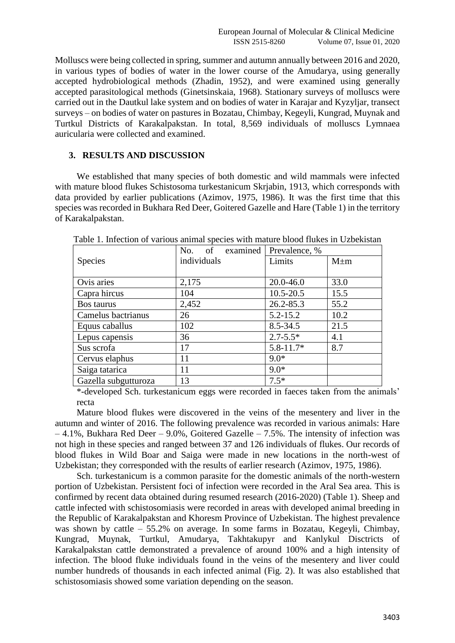Molluscs were being collected in spring, summer and autumn annually between 2016 and 2020, in various types of bodies of water in the lower course of the Amudarya, using generally accepted hydrobiological methods (Zhadin, 1952), and were examined using generally accepted parasitological methods (Ginetsinskaia, 1968). Stationary surveys of molluscs were carried out in the Dautkul lake system and on bodies of water in Karajar and Kyzyljar, transect surveys – on bodies of water on pastures in Bozatau, Chimbay, Kegeyli, Kungrad, Muynak and Turtkul Districts of Karakalpakstan. In total, 8,569 individuals of molluscs Lymnaea auricularia were collected and examined.

### **3. RESULTS AND DISCUSSION**

We established that many species of both domestic and wild mammals were infected with mature blood flukes Schistosoma turkestanicum Skrjabin, 1913, which corresponds with data provided by earlier publications (Azimov, 1975, 1986). It was the first time that this species was recorded in Bukhara Red Deer, Goitered Gazelle and Hare (Table 1) in the territory of Karakalpakstan.

|                      | examined<br>of<br>No. | Prevalence, % |           |
|----------------------|-----------------------|---------------|-----------|
| <b>Species</b>       | individuals           | Limits        | $M \pm m$ |
|                      |                       |               |           |
| Ovis aries           | 2,175                 | $20.0 - 46.0$ | 33.0      |
| Capra hircus         | 104                   | $10.5 - 20.5$ | 15.5      |
| <b>Bos taurus</b>    | 2,452                 | 26.2-85.3     | 55.2      |
| Camelus bactrianus   | 26                    | $5.2 - 15.2$  | 10.2      |
| Equus caballus       | 102                   | $8.5 - 34.5$  | 21.5      |
| Lepus capensis       | 36                    | $2.7 - 5.5*$  | 4.1       |
| Sus scrofa           | 17                    | $5.8 - 11.7*$ | 8.7       |
| Cervus elaphus       | 11                    | $9.0*$        |           |
| Saiga tatarica       | 11                    | $9.0*$        |           |
| Gazella subgutturoza | 13                    | $7.5*$        |           |

Table 1. Infection of various animal species with mature blood flukes in Uzbekistan

\*-developed Sch. turkestanicum eggs were recorded in faeces taken from the animals' recta

Mature blood flukes were discovered in the veins of the mesentery and liver in the autumn and winter of 2016. The following prevalence was recorded in various animals: Hare  $-4.1\%$ , Bukhara Red Deer – 9.0%, Goitered Gazelle – 7.5%. The intensity of infection was not high in these species and ranged between 37 and 126 individuals of flukes. Our records of blood flukes in Wild Boar and Saiga were made in new locations in the north-west of Uzbekistan; they corresponded with the results of earlier research (Azimov, 1975, 1986).

Sch. turkestanicum is a common parasite for the domestic animals of the north-western portion of Uzbekistan. Persistent foci of infection were recorded in the Aral Sea area. This is confirmed by recent data obtained during resumed research (2016-2020) (Table 1). Sheep and cattle infected with schistosomiasis were recorded in areas with developed animal breeding in the Republic of Karakalpakstan and Khoresm Province of Uzbekistan. The highest prevalence was shown by cattle – 55.2% on average. In some farms in Bozatau, Kegeyli, Chimbay, Kungrad, Muynak, Turtkul, Amudarya, Takhtakupyr and Kanlykul Disctricts of Karakalpakstan cattle demonstrated a prevalence of around 100% and a high intensity of infection. The blood fluke individuals found in the veins of the mesentery and liver could number hundreds of thousands in each infected animal (Fig. 2). It was also established that schistosomiasis showed some variation depending on the season.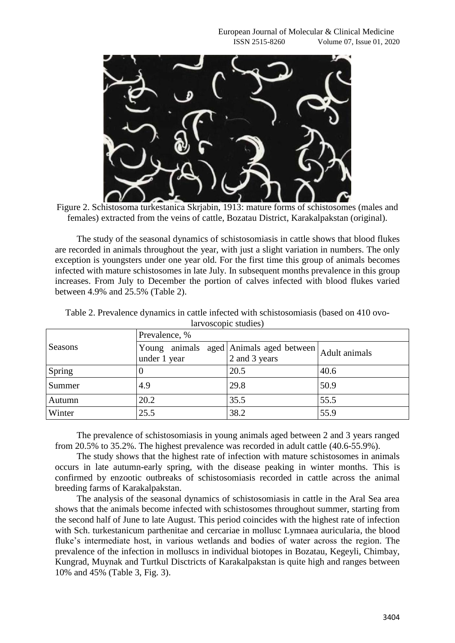

Figure 2. Schistosoma turkestanica Skriabin, 1913: mature forms of schistosomes (males and females) extracted from the veins of cattle, Bozatau District, Karakalpakstan (original).

The study of the seasonal dynamics of schistosomiasis in cattle shows that blood flukes are recorded in animals throughout the year, with just a slight variation in numbers. The only exception is youngsters under one year old. For the first time this group of animals becomes infected with mature schistosomes in late July. In subsequent months prevalence in this group increases. From July to December the portion of calves infected with blood flukes varied between 4.9% and 25.5% (Table 2).

| Seasons | Prevalence, % |                                                          |               |  |  |
|---------|---------------|----------------------------------------------------------|---------------|--|--|
|         | under 1 year  | Young animals aged Animals aged between<br>2 and 3 years | Adult animals |  |  |
| Spring  |               | 20.5                                                     | 40.6          |  |  |
| Summer  | 4.9           | 29.8                                                     | 50.9          |  |  |
| Autumn  | 20.2          | 35.5                                                     | 55.5          |  |  |
| Winter  | 25.5          | 38.2                                                     | 55.9          |  |  |

Table 2. Prevalence dynamics in cattle infected with schistosomiasis (based on 410 ovolarvoscopic studies)

The prevalence of schistosomiasis in young animals aged between 2 and 3 years ranged from 20.5% to 35.2%. The highest prevalence was recorded in adult cattle (40.6-55.9%).

The study shows that the highest rate of infection with mature schistosomes in animals occurs in late autumn-early spring, with the disease peaking in winter months. This is confirmed by enzootic outbreaks of schistosomiasis recorded in cattle across the animal breeding farms of Karakalpakstan.

The analysis of the seasonal dynamics of schistosomiasis in cattle in the Aral Sea area shows that the animals become infected with schistosomes throughout summer, starting from the second half of June to late August. This period coincides with the highest rate of infection with Sch. turkestanicum parthenitae and cercariae in mollusc Lymnaea auricularia, the blood fluke's intermediate host, in various wetlands and bodies of water across the region. The prevalence of the infection in molluscs in individual biotopes in Bozatau, Kegeyli, Chimbay, Kungrad, Muynak and Turtkul Disctricts of Karakalpakstan is quite high and ranges between 10% and 45% (Table 3, Fig. 3).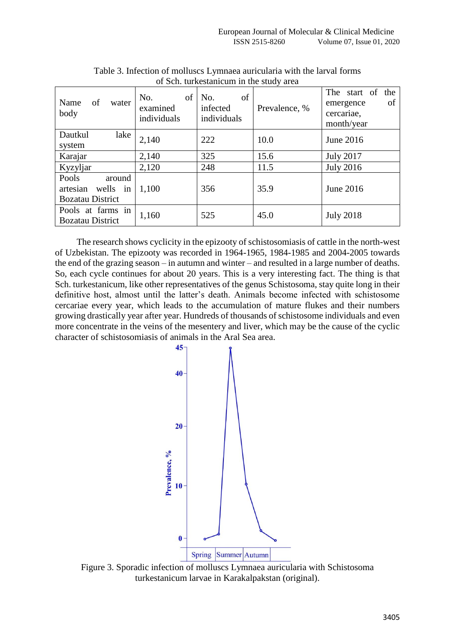| Name<br>of<br>water<br>body                                     | of<br>No.<br>examined<br>individuals | of<br>No.<br>infected<br>individuals | Prevalence, % | The start of<br>the<br>of<br>emergence<br>cercariae,<br>month/year |
|-----------------------------------------------------------------|--------------------------------------|--------------------------------------|---------------|--------------------------------------------------------------------|
| Dautkul<br>lake<br>system                                       | 2,140                                | 222                                  | 10.0          | June 2016                                                          |
| Karajar                                                         | 2,140                                | 325                                  | 15.6          | <b>July 2017</b>                                                   |
| Kyzyljar                                                        | 2,120                                | 248                                  | 11.5          | <b>July 2016</b>                                                   |
| Pools<br>around<br>artesian wells in<br><b>Bozatau District</b> | 1,100                                | 356                                  | 35.9          | June 2016                                                          |
| in<br>Pools at farms<br><b>Bozatau District</b>                 | 1,160                                | 525                                  | 45.0          | <b>July 2018</b>                                                   |

Table 3. Infection of molluscs Lymnaea auricularia with the larval forms of Sch. turkestanicum in the study area

The research shows cyclicity in the epizooty of schistosomiasis of cattle in the north-west of Uzbekistan. The epizooty was recorded in 1964-1965, 1984-1985 and 2004-2005 towards the end of the grazing season – in autumn and winter – and resulted in a large number of deaths. So, each cycle continues for about 20 years. This is a very interesting fact. The thing is that Sch. turkestanicum, like other representatives of the genus Schistosoma, stay quite long in their definitive host, almost until the latter's death. Animals become infected with schistosome cercariae every year, which leads to the accumulation of mature flukes and their numbers growing drastically year after year. Hundreds of thousands of schistosome individuals and even more concentrate in the veins of the mesentery and liver, which may be the cause of the cyclic character of schistosomiasis of animals in the Aral Sea area.



Figure 3. Sporadic infection of molluscs Lymnaea auricularia with Schistosoma turkestanicum larvae in Karakalpakstan (original).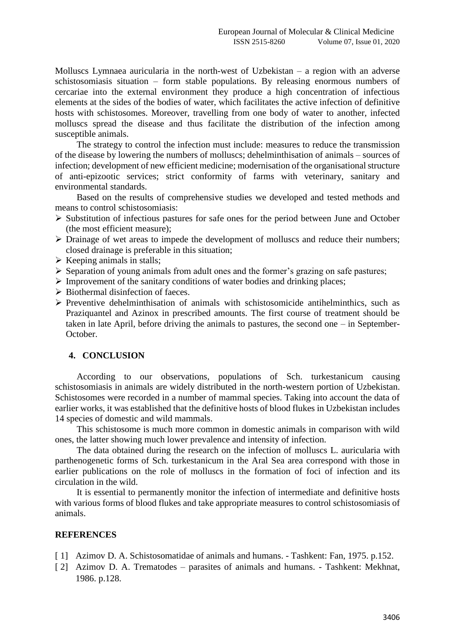Molluscs Lymnaea auricularia in the north-west of Uzbekistan – a region with an adverse schistosomiasis situation – form stable populations. By releasing enormous numbers of cercariae into the external environment they produce a high concentration of infectious elements at the sides of the bodies of water, which facilitates the active infection of definitive hosts with schistosomes. Moreover, travelling from one body of water to another, infected molluscs spread the disease and thus facilitate the distribution of the infection among susceptible animals.

The strategy to control the infection must include: measures to reduce the transmission of the disease by lowering the numbers of molluscs; dehelminthisation of animals – sources of infection; development of new efficient medicine; modernisation of the organisational structure of anti-epizootic services; strict conformity of farms with veterinary, sanitary and environmental standards.

Based on the results of comprehensive studies we developed and tested methods and means to control schistosomiasis:

- $\triangleright$  Substitution of infectious pastures for safe ones for the period between June and October (the most efficient measure);
- $\triangleright$  Drainage of wet areas to impede the development of molluscs and reduce their numbers; closed drainage is preferable in this situation;
- $\triangleright$  Keeping animals in stalls;
- $\triangleright$  Separation of young animals from adult ones and the former's grazing on safe pastures;
- $\triangleright$  Improvement of the sanitary conditions of water bodies and drinking places;
- $\triangleright$  Biothermal disinfection of faeces.
- $\triangleright$  Preventive dehelminthisation of animals with schistosomicide antihelminthics, such as Praziquantel and Azinox in prescribed amounts. The first course of treatment should be taken in late April, before driving the animals to pastures, the second one – in September-October.

### **4. CONCLUSION**

According to our observations, populations of Sch. turkestanicum causing schistosomiasis in animals are widely distributed in the north-western portion of Uzbekistan. Schistosomes were recorded in a number of mammal species. Taking into account the data of earlier works, it was established that the definitive hosts of blood flukes in Uzbekistan includes 14 species of domestic and wild mammals.

This schistosome is much more common in domestic animals in comparison with wild ones, the latter showing much lower prevalence and intensity of infection.

The data obtained during the research on the infection of molluscs L. auricularia with parthenogenetic forms of Sch. turkestanicum in the Aral Sea area correspond with those in earlier publications on the role of molluscs in the formation of foci of infection and its circulation in the wild.

It is essential to permanently monitor the infection of intermediate and definitive hosts with various forms of blood flukes and take appropriate measures to control schistosomiasis of animals.

#### **REFERENCES**

- [1] Azimov D. A. Schistosomatidae of animals and humans. Tashkent: Fan, 1975. p.152.
- [ 2] Azimov D. A. Trematodes parasites of animals and humans. Tashkent: Mekhnat, 1986. p.128.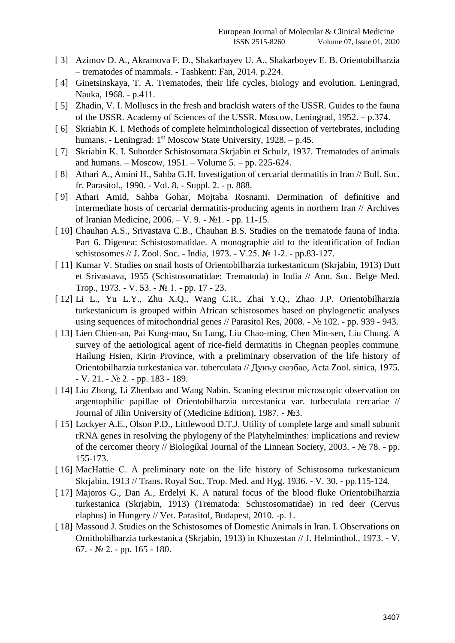- [ 3] Azimov D. A., Akramova F. D., Shakarbayev U. A., Shakarboyev E. B. Orientobilharzia – trematodes of mammals. - Tashkent: Fan, 2014. p.224.
- [ 4] Ginetsinskaya, T. A. Trematodes, their life cycles, biology and evolution. Leningrad, Nauka, 1968. - p.411.
- [ 5] Zhadin, V. I. Molluscs in the fresh and brackish waters of the USSR. Guides to the fauna of the USSR. Academy of Sciences of the USSR. Moscow, Leningrad, 1952. – p.374.
- [6] Skriabin K. I. Methods of complete helminthological dissection of vertebrates, including humans. - Leningrad: 1<sup>st</sup> Moscow State University, 1928. – p.45.
- [ 7] Skriabin K. I. Suborder Schistosomata Skrjabin et Schulz, 1937. Trematodes of animals and humans. – Moscow, 1951. – Volume 5. – pp. 225-624.
- [ 8] Athari A., Amini H., Sahba G.H. Investigation of cercarial dermatitis in Iran // Bull. Soc. fr. Parasitol., 1990. - Vol. 8. - Suppl. 2. - p. 888.
- [ 9] Athari Amid, Sahba Gohar, Mojtaba Rosnami. Dermination of definitive and intermediate hosts of cercarial dermatitis-producing agents in northern Iran // Archives of Iranian Medicine, 2006. – V. 9. - №1. - pp. 11-15.
- [ 10] Chauhan A.S., Srivastava C.B., Chauhan B.S. Studies on the trematode fauna of India. Part 6. Digenea: Schistosomatidae. A monographie aid to the identification of Indian schistosomes // Ј. Zool. Soc. - India, 1973. - V.25. № 1-2. - pp.83-127.
- [ 11] Kumar V. Studies on snail hosts of Orientobilharzia turkestanicum (Skrjabin, 1913) Dutt et Srivastava, 1955 (Schistosomatidae: Trematoda) in India // Ann. Soc. Belge Med. Trop., 1973. - V. 53. - № 1. - pp. 17 - 23.
- [ 12] Li L., Yu L.Y., Zhu X.Q., Wang C.R., Zhai Y.Q., Zhao J.P. Orientobilharzia turkestanicum is grouped within African schistosomes based on phylogenetic analyses using sequences of mitochondrial genes // Parasitol Res, 2008. - № 102. - pp. 939 - 943.
- [ 13] Lien Chien-an, Pai Kung-mao, Su Lung, Liu Chao-ming, Chen Min-sen, Liu Chung. A survey of the aetiological agent of rice-field dermatitis in Chegnan peoples commune, Hailung Hsien, Kirin Province, with a preliminary observation of the life history of Orientobilharzia turkestaniсa var. tuberculata // Дунъу сюэбао, Acta Zool. sinica, 1975. - V. 21. - № 2. - pp. 183 - 189.
- [ 14] Liu Zhong, Li Zhenbao and Wang Nabin. Scaning electron microscopic observation on argentophilic papillae of Orientobilharzia turcestanica var. turbeculata cercariae // Journal of Jilin University of (Medicine Edition), 1987. - №3.
- [ 15] Lockyer A.E., Olson P.D., Littlewood D.T.J. Utility of complete large and small subunit rRNA genes in resolving the phylogeny of the Platyhelminthes: implications and review of the cercomer theory // Biologikal Journal of the Linnean Society, 2003. - № 78. - pp. 155-173.
- [ 16] MacHattie C. A preliminary note on the life history of Schistosoma turkestanicum Skrjabin, 1913 // Trans. Royal Soc. Trop. Med. and Hyg. 1936. - V. 30. - pp.115-124.
- [ 17] Majoros G., Dan A., Erdelyi K. A natural focus of the blood fluke Orientobilharzia turkestanica (Skrjabin, 1913) (Trematoda: Schistosomatidae) in red deer (Cervus elaphus) in Hungery // Vet. Parasitol, Budapest, 2010. -p. 1.
- [ 18] Massoud J. Studies on the Schistosomes of Domestic Animals in Iran. I. Observations on Ornithobilharzia turkestanica (Skrjabin, 1913) in Khuzestan // J. Helminthol., 1973. - V. 67. -  $\mathbb{N}^{\circ}$  2. - pp. 165 - 180.